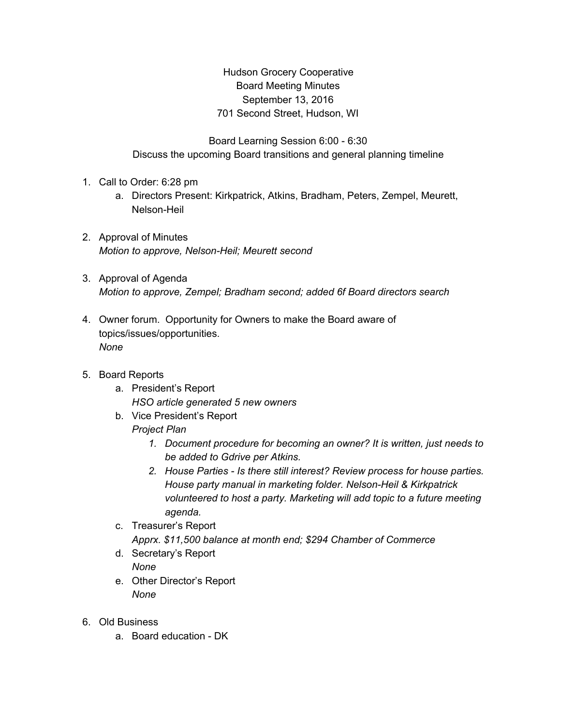Hudson Grocery Cooperative Board Meeting Minutes September 13, 2016 701 Second Street, Hudson, WI

Board Learning Session 6:00 - 6:30 Discuss the upcoming Board transitions and general planning timeline

- 1. Call to Order: 6:28 pm
	- a. Directors Present: Kirkpatrick, Atkins, Bradham, Peters, Zempel, Meurett, Nelson-Heil
- 2. Approval of Minutes *Motion to approve, Nelson-Heil; Meurett second*
- 3. Approval of Agenda *Motion to approve, Zempel; Bradham second; added 6f Board directors search*
- 4. Owner forum. Opportunity for Owners to make the Board aware of topics/issues/opportunities. *None*
- 5. Board Reports
	- a. President's Report *HSO article generated 5 new owners*
	- b. Vice President's Report *Project Plan*
		- *1. Document procedure for becoming an owner? It is written, just needs to be added to Gdrive per Atkins.*
		- *2. House Parties - Is there still interest? Review process for house parties. House party manual in marketing folder. Nelson-Heil & Kirkpatrick volunteered to host a party. Marketing will add topic to a future meeting agenda.*
	- c. Treasurer's Report

*Apprx. \$11,500 balance at month end; \$294 Chamber of Commerce*

- d. Secretary's Report *None*
- e. Other Director's Report *None*
- 6. Old Business
	- a. Board education DK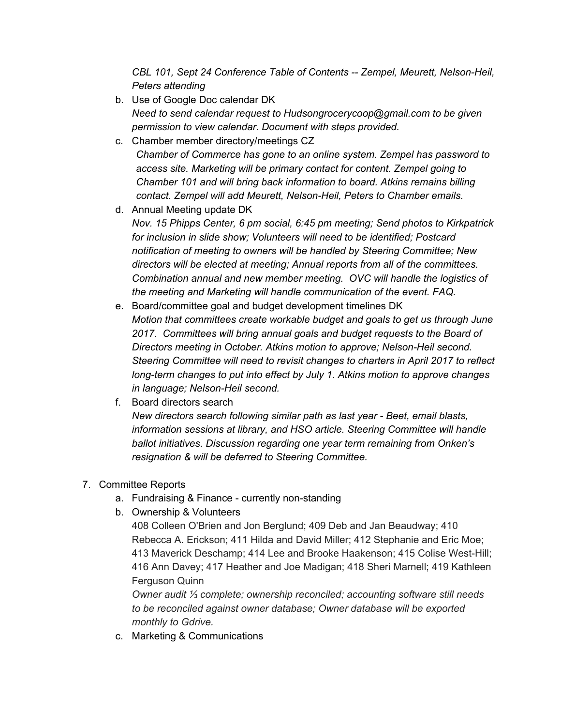*CBL 101, Sept 24 Conference Table of Contents -- Zempel, Meurett, Nelson-Heil, Peters attending*

- b. Use of Google Doc calendar DK *Need to send calendar request to Hudsongrocerycoop@gmail.com to be given permission to view calendar. Document with steps provided.*
- c. Chamber member directory/meetings CZ *Chamber of Commerce has gone to an online system. Zempel has password to access site. Marketing will be primary contact for content. Zempel going to Chamber 101 and will bring back information to board. Atkins remains billing contact. Zempel will add Meurett, Nelson-Heil, Peters to Chamber emails.*
- d. Annual Meeting update DK *Nov. 15 Phipps Center, 6 pm social, 6:45 pm meeting; Send photos to Kirkpatrick for inclusion in slide show; Volunteers will need to be identified; Postcard notification of meeting to owners will be handled by Steering Committee; New directors will be elected at meeting; Annual reports from all of the committees. Combination annual and new member meeting. OVC will handle the logistics of the meeting and Marketing will handle communication of the event. FAQ.*
- e. Board/committee goal and budget development timelines DK *Motion that committees create workable budget and goals to get us through June 2017. Committees will bring annual goals and budget requests to the Board of Directors meeting in October. Atkins motion to approve; Nelson-Heil second. Steering Committee will need to revisit changes to charters in April 2017 to reflect long-term changes to put into effect by July 1. Atkins motion to approve changes in language; Nelson-Heil second.*
- f. Board directors search *New directors search following similar path as last year - Beet, email blasts, information sessions at library, and HSO article. Steering Committee will handle ballot initiatives. Discussion regarding one year term remaining from Onken's resignation & will be deferred to Steering Committee.*

## 7. Committee Reports

- a. Fundraising & Finance currently non-standing
- b. Ownership & Volunteers

408 Colleen O'Brien and Jon Berglund; 409 Deb and Jan Beaudway; 410 Rebecca A. Erickson; 411 Hilda and David Miller; 412 Stephanie and Eric Moe; 413 Maverick Deschamp; 414 Lee and Brooke Haakenson; 415 Colise West-Hill; 416 Ann Davey; 417 Heather and Joe Madigan; 418 Sheri Marnell; 419 Kathleen Ferguson Quinn

*Owner audit ⅓ complete; ownership reconciled; accounting software still needs to be reconciled against owner database; Owner database will be exported monthly to Gdrive.*

c. Marketing & Communications